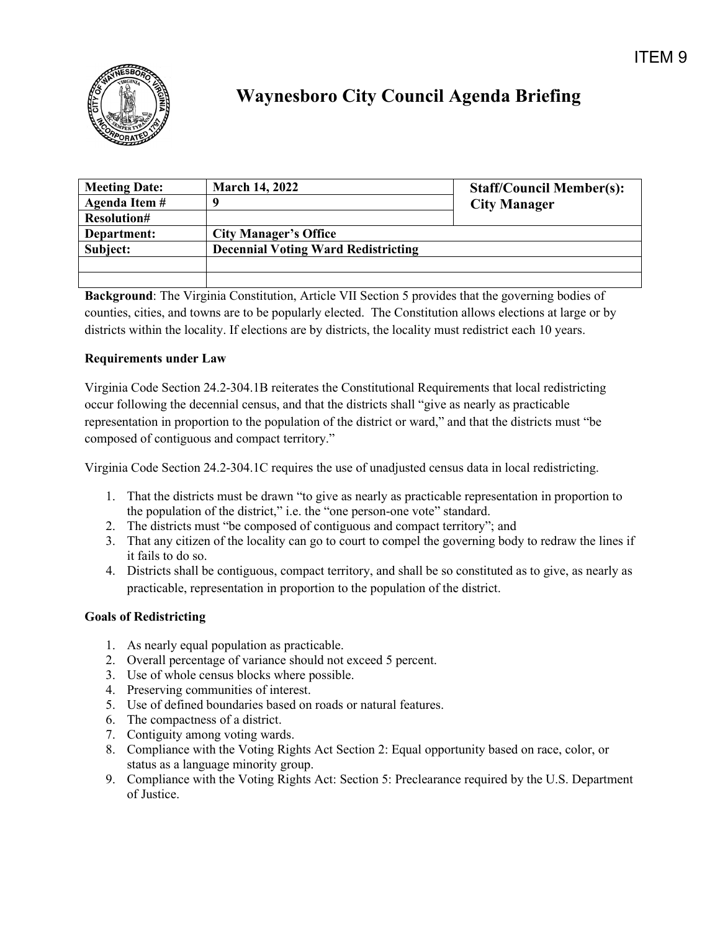

## **Waynesboro City Council Agenda Briefing**

| <b>Meeting Date:</b> | <b>March 14, 2022</b>                      | <b>Staff/Council Member(s):</b> |
|----------------------|--------------------------------------------|---------------------------------|
| Agenda Item #        |                                            | <b>City Manager</b>             |
| <b>Resolution#</b>   |                                            |                                 |
| Department:          | <b>City Manager's Office</b>               |                                 |
| Subject:             | <b>Decennial Voting Ward Redistricting</b> |                                 |
|                      |                                            |                                 |
|                      |                                            |                                 |

**Background**: The Virginia Constitution, Article VII Section 5 provides that the governing bodies of counties, cities, and towns are to be popularly elected. The Constitution allows elections at large or by districts within the locality. If elections are by districts, the locality must redistrict each 10 years.

## **Requirements under Law**

Virginia Code Section 24.2-304.1B reiterates the Constitutional Requirements that local redistricting occur following the decennial census, and that the districts shall "give as nearly as practicable representation in proportion to the population of the district or ward," and that the districts must "be composed of contiguous and compact territory."

Virginia Code Section 24.2-304.1C requires the use of unadjusted census data in local redistricting.

- 1. That the districts must be drawn "to give as nearly as practicable representation in proportion to the population of the district," i.e. the "one person-one vote" standard.
- 2. The districts must "be composed of contiguous and compact territory"; and
- 3. That any citizen of the locality can go to court to compel the governing body to redraw the lines if it fails to do so.
- 4. Districts shall be contiguous, compact territory, and shall be so constituted as to give, as nearly as practicable, representation in proportion to the population of the district.

## **Goals of Redistricting**

- 1. As nearly equal population as practicable.
- 2. Overall percentage of variance should not exceed 5 percent.
- 3. Use of whole census blocks where possible.
- 4. Preserving communities of interest.
- 5. Use of defined boundaries based on roads or natural features.
- 6. The compactness of a district.
- 7. Contiguity among voting wards.
- 8. Compliance with the Voting Rights Act Section 2: Equal opportunity based on race, color, or status as a language minority group.
- 9. Compliance with the Voting Rights Act: Section 5: Preclearance required by the U.S. Department of Justice.